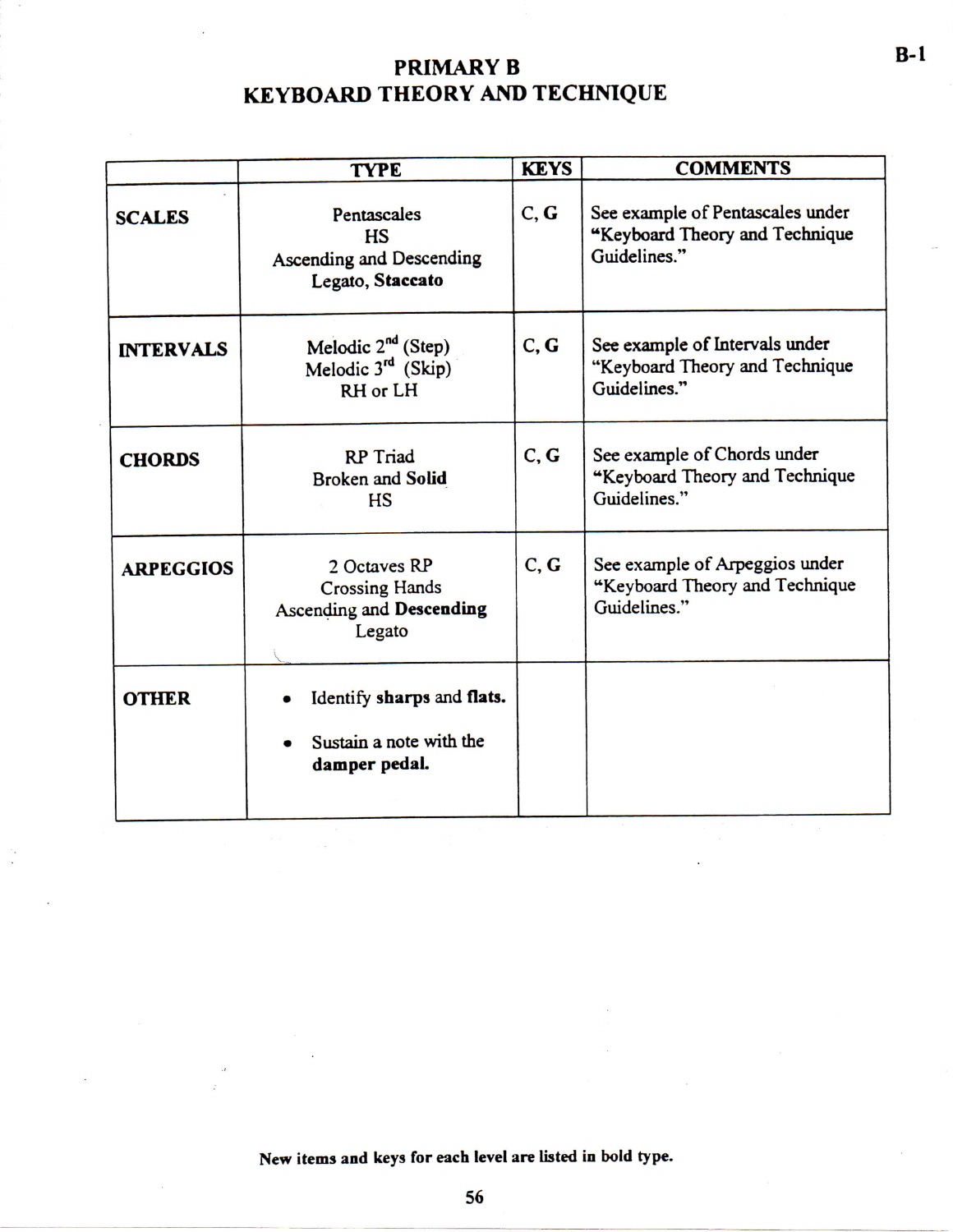## **PRIMARY B KEYBOARD THEORY AND TECHNIQUE**

|                  | <b>TYPE</b>                                                                        | <b>KEYS</b> | <b>COMMENTS</b>                                                                    |
|------------------|------------------------------------------------------------------------------------|-------------|------------------------------------------------------------------------------------|
| <b>SCALES</b>    | Pentascales<br>HS<br>Ascending and Descending<br>Legato, Staccato                  | C, G        | See example of Pentascales under<br>"Keyboard Theory and Technique<br>Guidelines." |
| <b>INTERVALS</b> | Melodic $2^{nd}$ (Step)<br>Melodic $3^{rd}$ (Skip)<br>RH or LH                     | C, G        | See example of Intervals under<br>"Keyboard Theory and Technique<br>Guidelines."   |
| <b>CHORDS</b>    | <b>RP</b> Triad<br><b>Broken and Solid</b><br><b>HS</b>                            | C, G        | See example of Chords under<br>"Keyboard Theory and Technique<br>Guidelines."      |
| <b>ARPEGGIOS</b> | 2 Octaves RP<br><b>Crossing Hands</b><br><b>Ascending and Descending</b><br>Legato | C, G        | See example of Arpeggios under<br>"Keyboard Theory and Technique<br>Guidelines."   |
| <b>OTHER</b>     | Identify sharps and flats.<br>Sustain a note with the<br>damper pedal.             |             |                                                                                    |

**New items and keys for each level are listed in bold type.** 

**56**